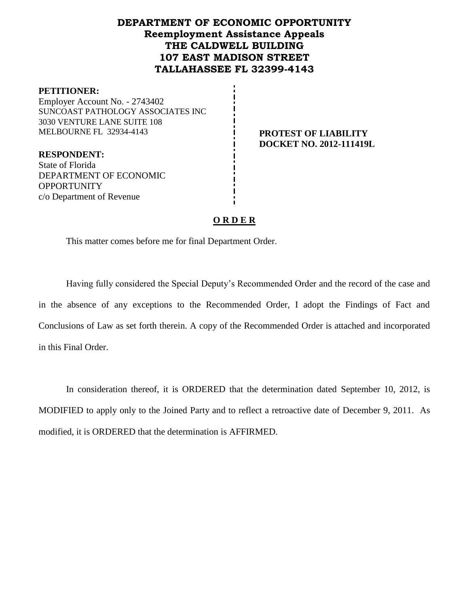# **DEPARTMENT OF ECONOMIC OPPORTUNITY Reemployment Assistance Appeals THE CALDWELL BUILDING 107 EAST MADISON STREET TALLAHASSEE FL 32399-4143**

#### **PETITIONER:**

Employer Account No. - 2743402 SUNCOAST PATHOLOGY ASSOCIATES INC 3030 VENTURE LANE SUITE 108 MELBOURNE FL 32934-4143 **PROTEST OF LIABILITY**

# **DOCKET NO. 2012-111419L**

**RESPONDENT:** State of Florida DEPARTMENT OF ECONOMIC **OPPORTUNITY** c/o Department of Revenue

# **O R D E R**

This matter comes before me for final Department Order.

Having fully considered the Special Deputy's Recommended Order and the record of the case and in the absence of any exceptions to the Recommended Order, I adopt the Findings of Fact and Conclusions of Law as set forth therein. A copy of the Recommended Order is attached and incorporated in this Final Order.

In consideration thereof, it is ORDERED that the determination dated September 10, 2012, is MODIFIED to apply only to the Joined Party and to reflect a retroactive date of December 9, 2011. As modified, it is ORDERED that the determination is AFFIRMED.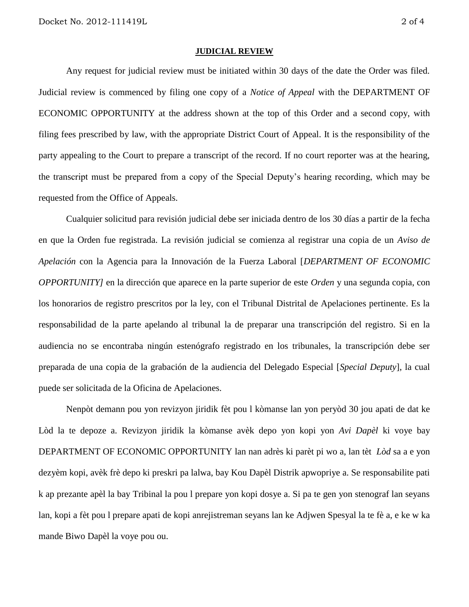#### **JUDICIAL REVIEW**

Any request for judicial review must be initiated within 30 days of the date the Order was filed. Judicial review is commenced by filing one copy of a *Notice of Appeal* with the DEPARTMENT OF ECONOMIC OPPORTUNITY at the address shown at the top of this Order and a second copy, with filing fees prescribed by law, with the appropriate District Court of Appeal. It is the responsibility of the party appealing to the Court to prepare a transcript of the record. If no court reporter was at the hearing, the transcript must be prepared from a copy of the Special Deputy's hearing recording, which may be requested from the Office of Appeals.

Cualquier solicitud para revisión judicial debe ser iniciada dentro de los 30 días a partir de la fecha en que la Orden fue registrada. La revisión judicial se comienza al registrar una copia de un *Aviso de Apelación* con la Agencia para la Innovación de la Fuerza Laboral [*DEPARTMENT OF ECONOMIC OPPORTUNITY]* en la dirección que aparece en la parte superior de este *Orden* y una segunda copia, con los honorarios de registro prescritos por la ley, con el Tribunal Distrital de Apelaciones pertinente. Es la responsabilidad de la parte apelando al tribunal la de preparar una transcripción del registro. Si en la audiencia no se encontraba ningún estenógrafo registrado en los tribunales, la transcripción debe ser preparada de una copia de la grabación de la audiencia del Delegado Especial [*Special Deputy*], la cual puede ser solicitada de la Oficina de Apelaciones.

Nenpòt demann pou yon revizyon jiridik fèt pou l kòmanse lan yon peryòd 30 jou apati de dat ke Lòd la te depoze a. Revizyon jiridik la kòmanse avèk depo yon kopi yon *Avi Dapèl* ki voye bay DEPARTMENT OF ECONOMIC OPPORTUNITY lan nan adrès ki parèt pi wo a, lan tèt *Lòd* sa a e yon dezyèm kopi, avèk frè depo ki preskri pa lalwa, bay Kou Dapèl Distrik apwopriye a. Se responsabilite pati k ap prezante apèl la bay Tribinal la pou l prepare yon kopi dosye a. Si pa te gen yon stenograf lan seyans lan, kopi a fèt pou l prepare apati de kopi anrejistreman seyans lan ke Adjwen Spesyal la te fè a, e ke w ka mande Biwo Dapèl la voye pou ou.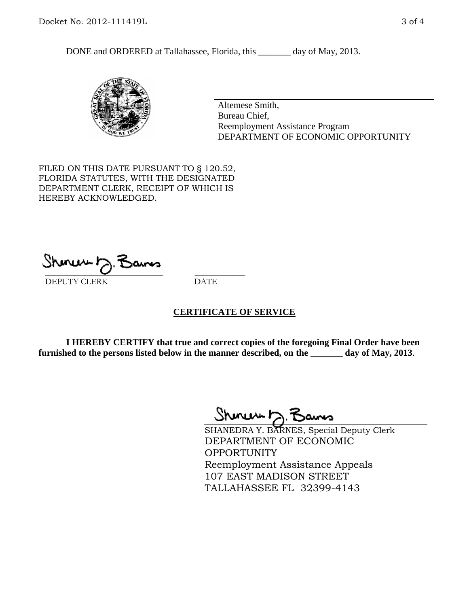DONE and ORDERED at Tallahassee, Florida, this \_\_\_\_\_\_\_ day of May, 2013.



Altemese Smith, Bureau Chief, Reemployment Assistance Program DEPARTMENT OF ECONOMIC OPPORTUNITY

FILED ON THIS DATE PURSUANT TO § 120.52, FLORIDA STATUTES, WITH THE DESIGNATED DEPARTMENT CLERK, RECEIPT OF WHICH IS HEREBY ACKNOWLEDGED.

 $\overline{\phantom{a}}$  ,  $\overline{\phantom{a}}$  ,  $\overline{\phantom{a}}$  ,  $\overline{\phantom{a}}$  ,  $\overline{\phantom{a}}$  ,  $\overline{\phantom{a}}$  ,  $\overline{\phantom{a}}$  ,  $\overline{\phantom{a}}$  ,  $\overline{\phantom{a}}$  ,  $\overline{\phantom{a}}$  ,  $\overline{\phantom{a}}$  ,  $\overline{\phantom{a}}$  ,  $\overline{\phantom{a}}$  ,  $\overline{\phantom{a}}$  ,  $\overline{\phantom{a}}$  ,  $\overline{\phantom{a}}$ DEPUTY CLERK DATE

# **CERTIFICATE OF SERVICE**

**I HEREBY CERTIFY that true and correct copies of the foregoing Final Order have been furnished to the persons listed below in the manner described, on the \_\_\_\_\_\_\_ day of May, 2013**.

 $ShmumE, F$ 

SHANEDRA Y. BARNES, Special Deputy Clerk DEPARTMENT OF ECONOMIC **OPPORTUNITY** Reemployment Assistance Appeals 107 EAST MADISON STREET TALLAHASSEE FL 32399-4143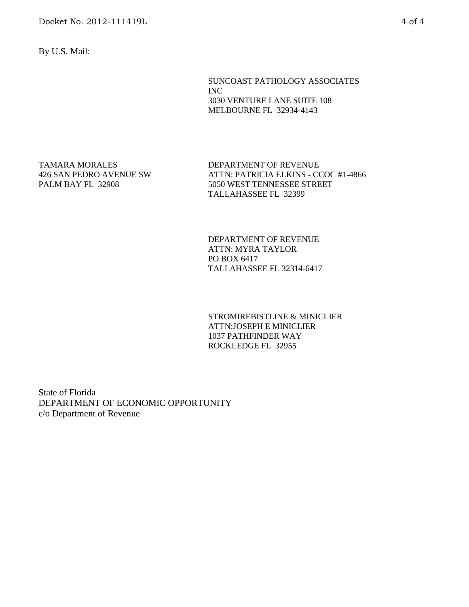By U.S. Mail:

SUNCOAST PATHOLOGY ASSOCIATES INC 3030 VENTURE LANE SUITE 108 MELBOURNE FL 32934-4143

TAMARA MORALES 426 SAN PEDRO AVENUE SW PALM BAY FL 32908

DEPARTMENT OF REVENUE ATTN: PATRICIA ELKINS - CCOC #1-4866 5050 WEST TENNESSEE STREET TALLAHASSEE FL 32399

DEPARTMENT OF REVENUE ATTN: MYRA TAYLOR PO BOX 6417 TALLAHASSEE FL 32314-6417

STROMIREBISTLINE & MINICLIER ATTN:JOSEPH E MINICLIER 1037 PATHFINDER WAY ROCKLEDGE FL 32955

State of Florida DEPARTMENT OF ECONOMIC OPPORTUNITY c/o Department of Revenue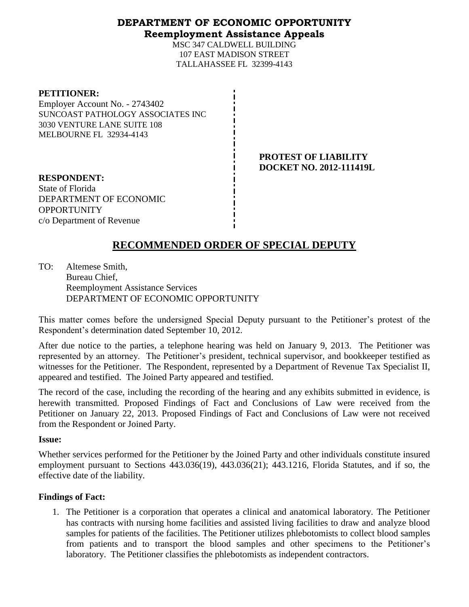# **DEPARTMENT OF ECONOMIC OPPORTUNITY Reemployment Assistance Appeals**

MSC 347 CALDWELL BUILDING 107 EAST MADISON STREET TALLAHASSEE FL 32399-4143

### **PETITIONER:**

Employer Account No. - 2743402 SUNCOAST PATHOLOGY ASSOCIATES INC 3030 VENTURE LANE SUITE 108 MELBOURNE FL 32934-4143

> **PROTEST OF LIABILITY DOCKET NO. 2012-111419L**

**RESPONDENT:** State of Florida DEPARTMENT OF ECONOMIC **OPPORTUNITY** c/o Department of Revenue

# **RECOMMENDED ORDER OF SPECIAL DEPUTY**

TO: Altemese Smith, Bureau Chief, Reemployment Assistance Services DEPARTMENT OF ECONOMIC OPPORTUNITY

This matter comes before the undersigned Special Deputy pursuant to the Petitioner's protest of the Respondent's determination dated September 10, 2012.

After due notice to the parties, a telephone hearing was held on January 9, 2013. The Petitioner was represented by an attorney. The Petitioner's president, technical supervisor, and bookkeeper testified as witnesses for the Petitioner. The Respondent, represented by a Department of Revenue Tax Specialist II, appeared and testified. The Joined Party appeared and testified.

The record of the case, including the recording of the hearing and any exhibits submitted in evidence, is herewith transmitted. Proposed Findings of Fact and Conclusions of Law were received from the Petitioner on January 22, 2013. Proposed Findings of Fact and Conclusions of Law were not received from the Respondent or Joined Party.

# **Issue:**

Whether services performed for the Petitioner by the Joined Party and other individuals constitute insured employment pursuant to Sections 443.036(19), 443.036(21); 443.1216, Florida Statutes, and if so, the effective date of the liability.

# **Findings of Fact:**

1. The Petitioner is a corporation that operates a clinical and anatomical laboratory. The Petitioner has contracts with nursing home facilities and assisted living facilities to draw and analyze blood samples for patients of the facilities. The Petitioner utilizes phlebotomists to collect blood samples from patients and to transport the blood samples and other specimens to the Petitioner's laboratory. The Petitioner classifies the phlebotomists as independent contractors.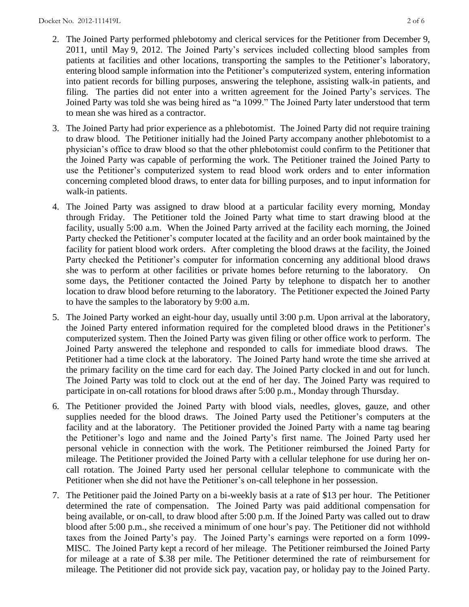- 2. The Joined Party performed phlebotomy and clerical services for the Petitioner from December 9, 2011, until May 9, 2012. The Joined Party's services included collecting blood samples from patients at facilities and other locations, transporting the samples to the Petitioner's laboratory, entering blood sample information into the Petitioner's computerized system, entering information into patient records for billing purposes, answering the telephone, assisting walk-in patients, and filing. The parties did not enter into a written agreement for the Joined Party's services. The Joined Party was told she was being hired as "a 1099." The Joined Party later understood that term to mean she was hired as a contractor.
- 3. The Joined Party had prior experience as a phlebotomist. The Joined Party did not require training to draw blood. The Petitioner initially had the Joined Party accompany another phlebotomist to a physician's office to draw blood so that the other phlebotomist could confirm to the Petitioner that the Joined Party was capable of performing the work. The Petitioner trained the Joined Party to use the Petitioner's computerized system to read blood work orders and to enter information concerning completed blood draws, to enter data for billing purposes, and to input information for walk-in patients.
- 4. The Joined Party was assigned to draw blood at a particular facility every morning, Monday through Friday. The Petitioner told the Joined Party what time to start drawing blood at the facility, usually 5:00 a.m. When the Joined Party arrived at the facility each morning, the Joined Party checked the Petitioner's computer located at the facility and an order book maintained by the facility for patient blood work orders. After completing the blood draws at the facility, the Joined Party checked the Petitioner's computer for information concerning any additional blood draws she was to perform at other facilities or private homes before returning to the laboratory. On some days, the Petitioner contacted the Joined Party by telephone to dispatch her to another location to draw blood before returning to the laboratory. The Petitioner expected the Joined Party to have the samples to the laboratory by 9:00 a.m.
- 5. The Joined Party worked an eight-hour day, usually until 3:00 p.m. Upon arrival at the laboratory, the Joined Party entered information required for the completed blood draws in the Petitioner's computerized system. Then the Joined Party was given filing or other office work to perform. The Joined Party answered the telephone and responded to calls for immediate blood draws. The Petitioner had a time clock at the laboratory. The Joined Party hand wrote the time she arrived at the primary facility on the time card for each day. The Joined Party clocked in and out for lunch. The Joined Party was told to clock out at the end of her day. The Joined Party was required to participate in on-call rotations for blood draws after 5:00 p.m., Monday through Thursday.
- 6. The Petitioner provided the Joined Party with blood vials, needles, gloves, gauze, and other supplies needed for the blood draws. The Joined Party used the Petitioner's computers at the facility and at the laboratory. The Petitioner provided the Joined Party with a name tag bearing the Petitioner's logo and name and the Joined Party's first name. The Joined Party used her personal vehicle in connection with the work. The Petitioner reimbursed the Joined Party for mileage. The Petitioner provided the Joined Party with a cellular telephone for use during her oncall rotation. The Joined Party used her personal cellular telephone to communicate with the Petitioner when she did not have the Petitioner's on-call telephone in her possession.
- 7. The Petitioner paid the Joined Party on a bi-weekly basis at a rate of \$13 per hour. The Petitioner determined the rate of compensation. The Joined Party was paid additional compensation for being available, or on-call, to draw blood after 5:00 p.m. If the Joined Party was called out to draw blood after 5:00 p.m., she received a minimum of one hour's pay. The Petitioner did not withhold taxes from the Joined Party's pay. The Joined Party's earnings were reported on a form 1099- MISC. The Joined Party kept a record of her mileage. The Petitioner reimbursed the Joined Party for mileage at a rate of \$.38 per mile. The Petitioner determined the rate of reimbursement for mileage. The Petitioner did not provide sick pay, vacation pay, or holiday pay to the Joined Party.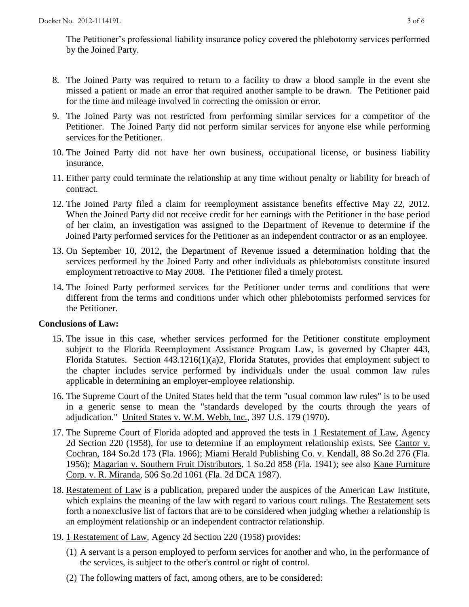The Petitioner's professional liability insurance policy covered the phlebotomy services performed by the Joined Party.

- 8. The Joined Party was required to return to a facility to draw a blood sample in the event she missed a patient or made an error that required another sample to be drawn. The Petitioner paid for the time and mileage involved in correcting the omission or error.
- 9. The Joined Party was not restricted from performing similar services for a competitor of the Petitioner. The Joined Party did not perform similar services for anyone else while performing services for the Petitioner.
- 10. The Joined Party did not have her own business, occupational license, or business liability insurance.
- 11. Either party could terminate the relationship at any time without penalty or liability for breach of contract.
- 12. The Joined Party filed a claim for reemployment assistance benefits effective May 22, 2012. When the Joined Party did not receive credit for her earnings with the Petitioner in the base period of her claim, an investigation was assigned to the Department of Revenue to determine if the Joined Party performed services for the Petitioner as an independent contractor or as an employee.
- 13. On September 10, 2012, the Department of Revenue issued a determination holding that the services performed by the Joined Party and other individuals as phlebotomists constitute insured employment retroactive to May 2008. The Petitioner filed a timely protest.
- 14. The Joined Party performed services for the Petitioner under terms and conditions that were different from the terms and conditions under which other phlebotomists performed services for the Petitioner.

# **Conclusions of Law:**

- 15. The issue in this case, whether services performed for the Petitioner constitute employment subject to the Florida Reemployment Assistance Program Law, is governed by Chapter 443, Florida Statutes. Section 443.1216(1)(a)2, Florida Statutes, provides that employment subject to the chapter includes service performed by individuals under the usual common law rules applicable in determining an employer-employee relationship.
- 16. The Supreme Court of the United States held that the term "usual common law rules" is to be used in a generic sense to mean the "standards developed by the courts through the years of adjudication." United States v. W.M. Webb, Inc., 397 U.S. 179 (1970).
- 17. The Supreme Court of Florida adopted and approved the tests in 1 Restatement of Law, Agency 2d Section 220 (1958), for use to determine if an employment relationship exists. See Cantor v. Cochran, 184 So.2d 173 (Fla. 1966); Miami Herald Publishing Co. v. Kendall, 88 So.2d 276 (Fla. 1956); Magarian v. Southern Fruit Distributors, 1 So.2d 858 (Fla. 1941); see also Kane Furniture Corp. v. R. Miranda, 506 So.2d 1061 (Fla. 2d DCA 1987).
- 18. Restatement of Law is a publication, prepared under the auspices of the American Law Institute, which explains the meaning of the law with regard to various court rulings. The Restatement sets forth a nonexclusive list of factors that are to be considered when judging whether a relationship is an employment relationship or an independent contractor relationship.
- 19. 1 Restatement of Law, Agency 2d Section 220 (1958) provides:
	- (1) A servant is a person employed to perform services for another and who, in the performance of the services, is subject to the other's control or right of control.
	- (2) The following matters of fact, among others, are to be considered: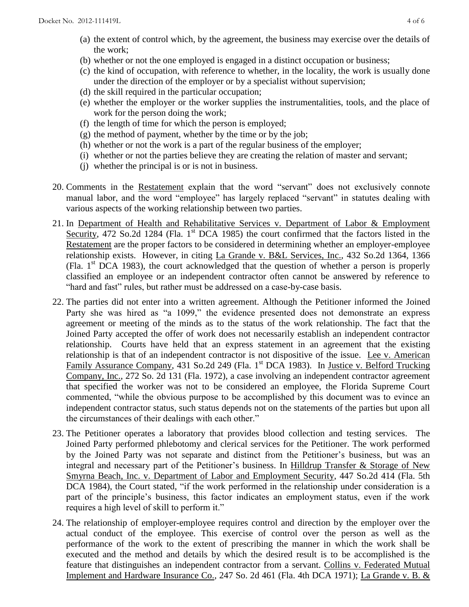- (a) the extent of control which, by the agreement, the business may exercise over the details of the work;
- (b) whether or not the one employed is engaged in a distinct occupation or business;
- (c) the kind of occupation, with reference to whether, in the locality, the work is usually done under the direction of the employer or by a specialist without supervision;
- (d) the skill required in the particular occupation;
- (e) whether the employer or the worker supplies the instrumentalities, tools, and the place of work for the person doing the work;
- (f) the length of time for which the person is employed;
- (g) the method of payment, whether by the time or by the job;
- (h) whether or not the work is a part of the regular business of the employer;
- (i) whether or not the parties believe they are creating the relation of master and servant;
- (j) whether the principal is or is not in business.
- 20. Comments in the Restatement explain that the word "servant" does not exclusively connote manual labor, and the word "employee" has largely replaced "servant" in statutes dealing with various aspects of the working relationship between two parties.
- 21. In Department of Health and Rehabilitative Services v. Department of Labor & Employment Security, 472 So.2d 1284 (Fla.  $1<sup>st</sup>$  DCA 1985) the court confirmed that the factors listed in the Restatement are the proper factors to be considered in determining whether an employer-employee relationship exists. However, in citing La Grande v. B&L Services, Inc., 432 So.2d 1364, 1366 (Fla.  $1<sup>st</sup>$  DCA 1983), the court acknowledged that the question of whether a person is properly classified an employee or an independent contractor often cannot be answered by reference to "hard and fast" rules, but rather must be addressed on a case-by-case basis.
- 22. The parties did not enter into a written agreement. Although the Petitioner informed the Joined Party she was hired as "a 1099," the evidence presented does not demonstrate an express agreement or meeting of the minds as to the status of the work relationship. The fact that the Joined Party accepted the offer of work does not necessarily establish an independent contractor relationship. Courts have held that an express statement in an agreement that the existing relationship is that of an independent contractor is not dispositive of the issue. Lee v. American Family Assurance Company, 431 So.2d 249 (Fla. 1<sup>st</sup> DCA 1983). In Justice v. Belford Trucking Company, Inc., 272 So. 2d 131 (Fla. 1972), a case involving an independent contractor agreement that specified the worker was not to be considered an employee, the Florida Supreme Court commented, "while the obvious purpose to be accomplished by this document was to evince an independent contractor status, such status depends not on the statements of the parties but upon all the circumstances of their dealings with each other."
- 23. The Petitioner operates a laboratory that provides blood collection and testing services. The Joined Party performed phlebotomy and clerical services for the Petitioner. The work performed by the Joined Party was not separate and distinct from the Petitioner's business, but was an integral and necessary part of the Petitioner's business. In Hilldrup Transfer & Storage of New Smyrna Beach, Inc. v. Department of Labor and Employment Security, 447 So.2d 414 (Fla. 5th DCA 1984), the Court stated, "if the work performed in the relationship under consideration is a part of the principle's business, this factor indicates an employment status, even if the work requires a high level of skill to perform it."
- 24. The relationship of employer-employee requires control and direction by the employer over the actual conduct of the employee. This exercise of control over the person as well as the performance of the work to the extent of prescribing the manner in which the work shall be executed and the method and details by which the desired result is to be accomplished is the feature that distinguishes an independent contractor from a servant. Collins v. Federated Mutual Implement and Hardware Insurance Co., 247 So. 2d 461 (Fla. 4th DCA 1971); La Grande v. B. &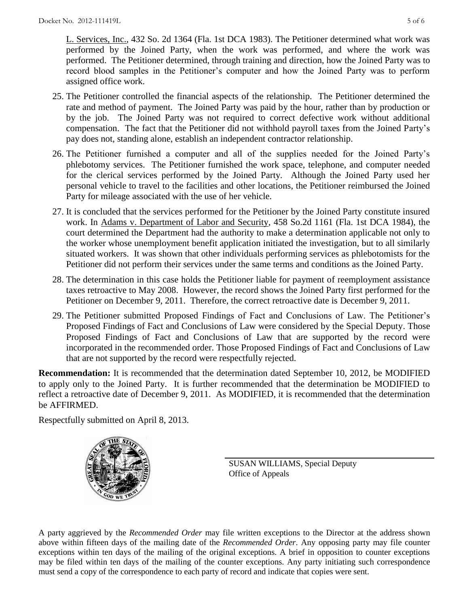L. Services, Inc., 432 So. 2d 1364 (Fla. 1st DCA 1983). The Petitioner determined what work was performed by the Joined Party, when the work was performed, and where the work was performed. The Petitioner determined, through training and direction, how the Joined Party was to record blood samples in the Petitioner's computer and how the Joined Party was to perform assigned office work.

- 25. The Petitioner controlled the financial aspects of the relationship. The Petitioner determined the rate and method of payment. The Joined Party was paid by the hour, rather than by production or by the job. The Joined Party was not required to correct defective work without additional compensation. The fact that the Petitioner did not withhold payroll taxes from the Joined Party's pay does not, standing alone, establish an independent contractor relationship.
- 26. The Petitioner furnished a computer and all of the supplies needed for the Joined Party's phlebotomy services. The Petitioner furnished the work space, telephone, and computer needed for the clerical services performed by the Joined Party. Although the Joined Party used her personal vehicle to travel to the facilities and other locations, the Petitioner reimbursed the Joined Party for mileage associated with the use of her vehicle.
- 27. It is concluded that the services performed for the Petitioner by the Joined Party constitute insured work. In Adams v. Department of Labor and Security, 458 So.2d 1161 (Fla. 1st DCA 1984), the court determined the Department had the authority to make a determination applicable not only to the worker whose unemployment benefit application initiated the investigation, but to all similarly situated workers. It was shown that other individuals performing services as phlebotomists for the Petitioner did not perform their services under the same terms and conditions as the Joined Party.
- 28. The determination in this case holds the Petitioner liable for payment of reemployment assistance taxes retroactive to May 2008. However, the record shows the Joined Party first performed for the Petitioner on December 9, 2011. Therefore, the correct retroactive date is December 9, 2011.
- 29. The Petitioner submitted Proposed Findings of Fact and Conclusions of Law. The Petitioner's Proposed Findings of Fact and Conclusions of Law were considered by the Special Deputy. Those Proposed Findings of Fact and Conclusions of Law that are supported by the record were incorporated in the recommended order. Those Proposed Findings of Fact and Conclusions of Law that are not supported by the record were respectfully rejected.

**Recommendation:** It is recommended that the determination dated September 10, 2012, be MODIFIED to apply only to the Joined Party. It is further recommended that the determination be MODIFIED to reflect a retroactive date of December 9, 2011. As MODIFIED, it is recommended that the determination be AFFIRMED.

Respectfully submitted on April 8, 2013.



SUSAN WILLIAMS, Special Deputy Office of Appeals

A party aggrieved by the *Recommended Order* may file written exceptions to the Director at the address shown above within fifteen days of the mailing date of the *Recommended Order*. Any opposing party may file counter exceptions within ten days of the mailing of the original exceptions. A brief in opposition to counter exceptions may be filed within ten days of the mailing of the counter exceptions. Any party initiating such correspondence must send a copy of the correspondence to each party of record and indicate that copies were sent.